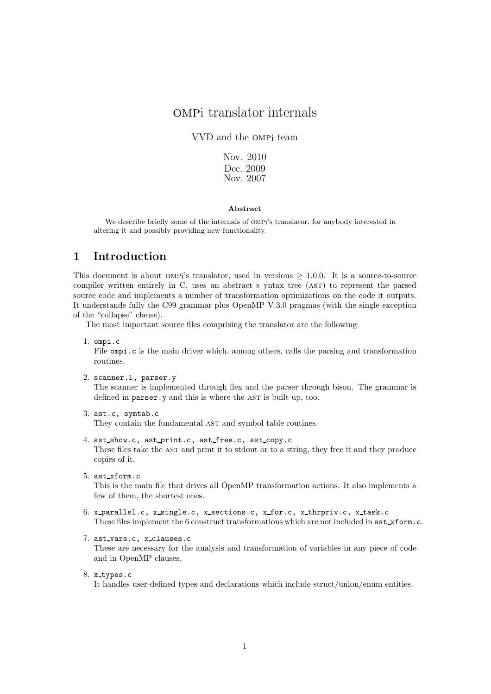# ompi translator internals

VVD and the ompi team

Nov. 2010 Dec. 2009 Nov. 2007

#### Abstract

We describe briefly some of the internals of OMPi's translator, for anybody interested in altering it and possibly providing new functionality.

### 1 Introduction

This document is about OMPi's translator, used in versions  $> 1.0.0$ . It is a source-to-source compiler written entirely in C, uses an abstract s yntax tree (ast) to represent the parsed source code and implements a number of transformation optimizations on the code it outputs. It understands fully the C99 grammar plus OpenMP V.3.0 pragmas (with the single exception of the "collapse" clause).

The most important source files comprising the translator are the following:

1. ompi.c

File ompi.c is the main driver which, among others, calls the parsing and transformation routines.

2. scanner.l, parser.y

The scanner is implemented through flex and the parser through bison. The grammar is defined in parser.y and this is where the AST is built up, too.

3. ast.c, symtab.c

They contain the fundamental AST and symbol table routines.

- 4. ast show.c, ast print.c, ast free.c, ast copy.c These files take the AST and print it to stdout or to a string, they free it and they produce copies of it.
- 5. ast xform.c This is the main file that drives all OpenMP transformation actions. It also implements a few of them, the shortest ones.
- 6. x parallel.c, x single.c, x sections.c, x for.c, x thrpriv.c, x task.c These files implement the 6 construct transformations which are not included in  $\texttt{ast\_xform.c.}$
- 7. ast vars.c, x clauses.c These are necessary for the analysis and transformation of variables in any piece of code and in OpenMP clauses.
- 8. x types.c It handles user-defined types and declarations which include struct/union/enum entities.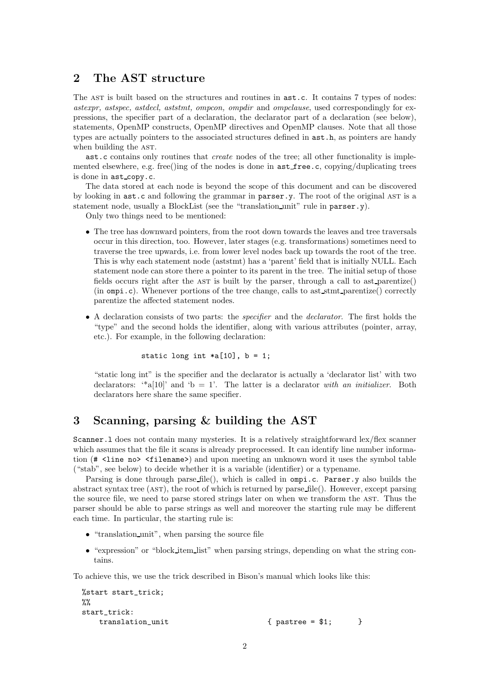## 2 The AST structure

The AST is built based on the structures and routines in  $ast.c.$  It contains 7 types of nodes: astexpr, astspec, astdecl, aststmt, ompcon, ompdir and ompclause, used correspondingly for expressions, the specifier part of a declaration, the declarator part of a declaration (see below), statements, OpenMP constructs, OpenMP directives and OpenMP clauses. Note that all those types are actually pointers to the associated structures defined in ast.h, as pointers are handy when building the AST.

ast.c contains only routines that create nodes of the tree; all other functionality is implemented elsewhere, e.g. free()ing of the nodes is done in  $ast\_free.c$ , copying/duplicating trees is done in  $ast_{copy.c.}$ 

The data stored at each node is beyond the scope of this document and can be discovered by looking in  $ast.c$  and following the grammar in  $parser.y$ . The root of the original AST is a statement node, usually a BlockList (see the "translation unit" rule in parser.y).

Only two things need to be mentioned:

- The tree has downward pointers, from the root down towards the leaves and tree traversals occur in this direction, too. However, later stages (e.g. transformations) sometimes need to traverse the tree upwards, i.e. from lower level nodes back up towards the root of the tree. This is why each statement node (aststmt) has a 'parent' field that is initially NULL. Each statement node can store there a pointer to its parent in the tree. The initial setup of those fields occurs right after the AST is built by the parser, through a call to ast parentize() (in  $\text{ompi.c}$ ). Whenever portions of the tree change, calls to ast stmt parentize() correctly parentize the affected statement nodes.
- A declaration consists of two parts: the specifier and the declarator. The first holds the "type" and the second holds the identifier, along with various attributes (pointer, array, etc.). For example, in the following declaration:

static long int  $*a[10]$ ,  $b = 1$ ;

"static long int" is the specifier and the declarator is actually a 'declarator list' with two declarators: "a[10]' and 'b = 1'. The latter is a declarator with an initializer. Both declarators here share the same specifier.

## 3 Scanning, parsing & building the AST

Scanner. 1 does not contain many mysteries. It is a relatively straightforward lex/flex scanner which assumes that the file it scans is already preprocessed. It can identify line number information (# <line no> <filename>) and upon meeting an unknown word it uses the symbol table ("stab", see below) to decide whether it is a variable (identifier) or a typename.

Parsing is done through parse file(), which is called in ompi.c. Parser.y also builds the abstract syntax tree (ast), the root of which is returned by parse file(). However, except parsing the source file, we need to parse stored strings later on when we transform the AST. Thus the parser should be able to parse strings as well and moreover the starting rule may be different each time. In particular, the starting rule is:

- "translation unit", when parsing the source file
- "expression" or "block item list" when parsing strings, depending on what the string contains.

To achieve this, we use the trick described in Bison's manual which looks like this:

```
%start start_trick;
\%start_trick:
  translation_unit { pastree = $1; }
```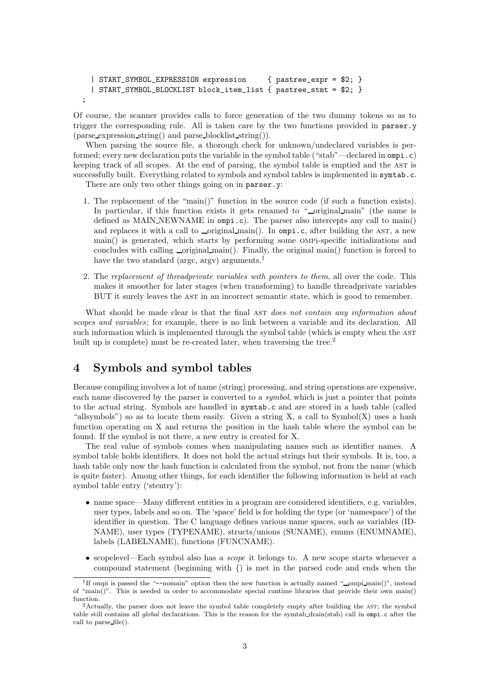```
| START_SYMBOL_EXPRESSION expression { pastree_expr = $2; }
| START_SYMBOL_BLOCKLIST block_item_list { pastree_stmt = $2; }
```
Of course, the scanner provides calls to force generation of the two dummy tokens so as to trigger the corresponding rule. All is taken care by the two functions provided in parser.y (parse expression string() and parse blocklist string()).

When parsing the source file, a thorough check for unknown/undeclared variables is performed; every new declaration puts the variable in the symbol table ("stab"—declared in ompi.c) keeping track of all scopes. At the end of parsing, the symbol table is emptied and the AST is successfully built. Everything related to symbols and symbol tables is implemented in symtab.c.

There are only two other things going on in parser.y:

;

- 1. The replacement of the "main()" function in the source code (if such a function exists). In particular, if this function exists it gets renamed to "
original main" (the name is defined as MAIN\_NEWNAME in ompi.c). The parser also intercepts any call to main() and replaces it with a call to  $\text{\textendash} min()$ . In ompi.c, after building the AST, a new main() is generated, which starts by performing some ompi-specific initializations and concludes with calling  $\text{\textendash}$  main(). Finally, the original main() function is forced to have the two standard (argc, argv) arguments.<sup>1</sup>
- 2. The replacement of threadprivate variables with pointers to them, all over the code. This makes it smoother for later stages (when transforming) to handle threadprivate variables BUT it surely leaves the AST in an incorrect semantic state, which is good to remember.

What should be made clear is that the final AST does not contain any information about scopes and variables; for example, there is no link between a variable and its declaration. All such information which is implemented through the symbol table (which is empty when the AST built up is complete) must be re-created later, when traversing the tree.<sup>2</sup>

### 4 Symbols and symbol tables

Because compiling involves a lot of name (string) processing, and string operations are expensive, each name discovered by the parser is converted to a *symbol*, which is just a pointer that points to the actual string. Symbols are handled in symtab.c and are stored in a hash table (called "allsymbols") so as to locate them easily. Given a string  $X$ , a call to Symbol $(X)$  uses a hash function operating on X and returns the position in the hash table where the symbol can be found. If the symbol is not there, a new entry is created for X.

The real value of symbols comes when manipulating names such as identifier names. A symbol table holds identifiers. It does not hold the actual strings but their symbols. It is, too, a hash table only now the hash function is calculated from the symbol, not from the name (which is quite faster). Among other things, for each identifier the following information is held at each symbol table entry ('stentry'):

- name space—Many different entities in a program are considered identifiers, e.g. variables, user types, labels and so on. The 'space' field is for holding the type (or 'namespace') of the identifier in question. The C language defines various name spaces, such as variables (ID-NAME), user types (TYPENAME), structs/unions (SUNAME), enums (ENUMNAME), labels (LABELNAME), functions (FUNCNAME).
- scopelevel—Each symbol also has a scope it belongs to. A new scope starts whenever a compound statement (beginning with {) is met in the parsed code and ends when the

<sup>&</sup>lt;sup>1</sup>If ompi is passed the "--nomain" option then the new function is actually named "\_ompi\_main()", instead of "main()". This is needed in order to accommodate special runtime libraries that provide their own main() function.

 $2$ Actually, the parser does not leave the symbol table completely empty after building the AST; the symbol table still contains all global declarations. This is the reason for the symtab drain(stab) call in ompi.c after the call to parse file().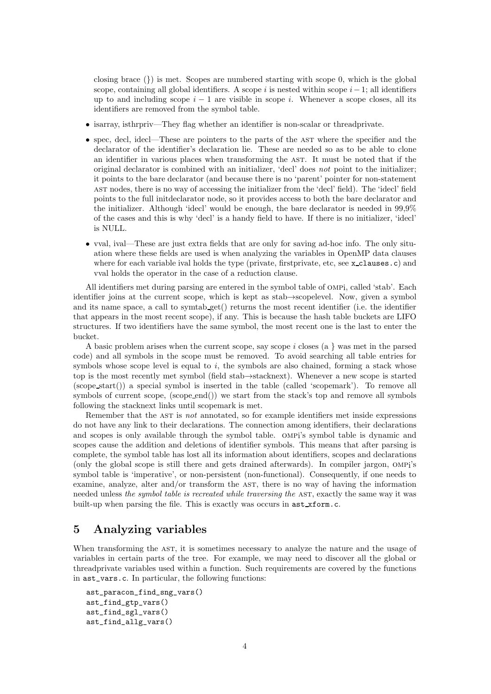closing brace  $\{\}\$  is met. Scopes are numbered starting with scope 0, which is the global scope, containing all global identifiers. A scope i is nested within scope  $i-1$ ; all identifiers up to and including scope  $i - 1$  are visible in scope i. Whenever a scope closes, all its identifiers are removed from the symbol table.

- isarray, isthrpriv—They flag whether an identifier is non-scalar or threadprivate.
- spec, decl, idecl—These are pointers to the parts of the AST where the specifier and the declarator of the identifier's declaration lie. These are needed so as to be able to clone an identifier in various places when transforming the ast. It must be noted that if the original declarator is combined with an initializer, 'decl' does not point to the initializer; it points to the bare declarator (and because there is no 'parent' pointer for non-statement ast nodes, there is no way of accessing the initializer from the 'decl' field). The 'idecl' field points to the full initdeclarator node, so it provides access to both the bare declarator and the initializer. Although 'idecl' would be enough, the bare declarator is needed in 99,9% of the cases and this is why 'decl' is a handy field to have. If there is no initializer, 'idecl' is NULL.
- vval, ival—These are just extra fields that are only for saving ad-hoc info. The only situation where these fields are used is when analyzing the variables in OpenMP data clauses where for each variable ival holds the type (private, firstprivate, etc, see x<sub>-clauses.c</sub>) and vval holds the operator in the case of a reduction clause.

All identifiers met during parsing are entered in the symbol table of ompi, called 'stab'. Each identifier joins at the current scope, which is kept as stab→scopelevel. Now, given a symbol and its name space, a call to symtab get() returns the most recent identifier (i.e. the identifier that appears in the most recent scope), if any. This is because the hash table buckets are LIFO structures. If two identifiers have the same symbol, the most recent one is the last to enter the bucket.

A basic problem arises when the current scope, say scope  $i$  closes (a } was met in the parsed code) and all symbols in the scope must be removed. To avoid searching all table entries for symbols whose scope level is equal to  $i$ , the symbols are also chained, forming a stack whose top is the most recently met symbol (field stab→stacknext). Whenever a new scope is started (scope start()) a special symbol is inserted in the table (called 'scopemark'). To remove all symbols of current scope, (scope end()) we start from the stack's top and remove all symbols following the stacknext links until scopemark is met.

Remember that the AST is not annotated, so for example identifiers met inside expressions do not have any link to their declarations. The connection among identifiers, their declarations and scopes is only available through the symbol table. ompi's symbol table is dynamic and scopes cause the addition and deletions of identifier symbols. This means that after parsing is complete, the symbol table has lost all its information about identifiers, scopes and declarations (only the global scope is still there and gets drained afterwards). In compiler jargon, ompi's symbol table is 'imperative', or non-persistent (non-functional). Consequently, if one needs to examine, analyze, alter and/or transform the AST, there is no way of having the information needed unless the symbol table is recreated while traversing the AST, exactly the same way it was built-up when parsing the file. This is exactly was occurs in ast xform.c.

## 5 Analyzing variables

When transforming the AST, it is sometimes necessary to analyze the nature and the usage of variables in certain parts of the tree. For example, we may need to discover all the global or threadprivate variables used within a function. Such requirements are covered by the functions in ast\_vars.c. In particular, the following functions:

```
ast_paracon_find_sng_vars()
ast_find_gtp_vars()
ast_find_sgl_vars()
ast_find_allg_vars()
```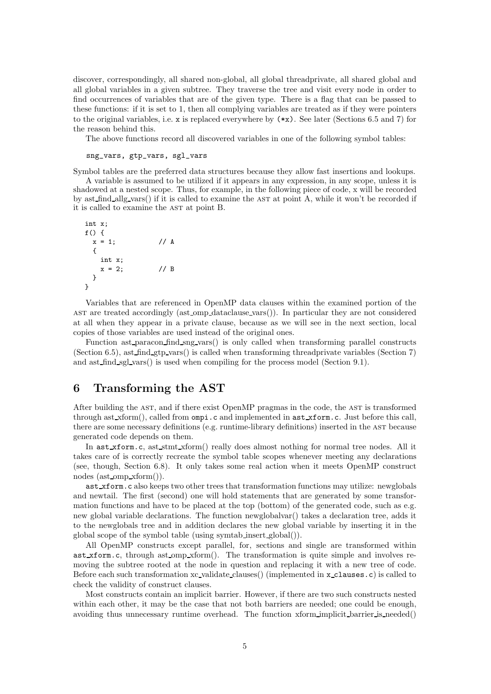discover, correspondingly, all shared non-global, all global threadprivate, all shared global and all global variables in a given subtree. They traverse the tree and visit every node in order to find occurrences of variables that are of the given type. There is a flag that can be passed to these functions: if it is set to 1, then all complying variables are treated as if they were pointers to the original variables, i.e. x is replaced everywhere by (\*x). See later (Sections 6.5 and 7) for the reason behind this.

The above functions record all discovered variables in one of the following symbol tables:

sng\_vars, gtp\_vars, sgl\_vars

Symbol tables are the preferred data structures because they allow fast insertions and lookups.

A variable is assumed to be utilized if it appears in any expression, in any scope, unless it is shadowed at a nested scope. Thus, for example, in the following piece of code, x will be recorded by ast find allg vars() if it is called to examine the ast at point A, while it won't be recorded if it is called to examine the AST at point B.

```
int x;
f() {
 x = 1; // A
 {
   int x;
   x = 2; // B
 }
}
```
Variables that are referenced in OpenMP data clauses within the examined portion of the ast are treated accordingly (ast omp dataclause vars()). In particular they are not considered at all when they appear in a private clause, because as we will see in the next section, local copies of those variables are used instead of the original ones.

Function ast paracon find sng vars() is only called when transforming parallel constructs (Section 6.5), ast find gtp vars() is called when transforming threadprivate variables (Section 7) and ast find sgl vars() is used when compiling for the process model (Section 9.1).

### 6 Transforming the AST

After building the AST, and if there exist OpenMP pragmas in the code, the AST is transformed through ast xform(), called from ompi.c and implemented in ast xform.c. Just before this call, there are some necessary definitions (e.g. runtime-library definitions) inserted in the ast because generated code depends on them.

In ast xform.c, ast stmt xform() really does almost nothing for normal tree nodes. All it takes care of is correctly recreate the symbol table scopes whenever meeting any declarations (see, though, Section 6.8). It only takes some real action when it meets OpenMP construct nodes (ast omp xform()).

ast xform.c also keeps two other trees that transformation functions may utilize: newglobals and newtail. The first (second) one will hold statements that are generated by some transformation functions and have to be placed at the top (bottom) of the generated code, such as e.g. new global variable declarations. The function newglobalvar() takes a declaration tree, adds it to the newglobals tree and in addition declares the new global variable by inserting it in the global scope of the symbol table (using symtab insert global()).

All OpenMP constructs except parallel, for, sections and single are transformed within ast xform.c, through ast omp xform(). The transformation is quite simple and involves removing the subtree rooted at the node in question and replacing it with a new tree of code. Before each such transformation xc validate clauses() (implemented in x clauses.c) is called to check the validity of construct clauses.

Most constructs contain an implicit barrier. However, if there are two such constructs nested within each other, it may be the case that not both barriers are needed; one could be enough, avoiding thus unnecessary runtime overhead. The function xform implicit barrier is needed()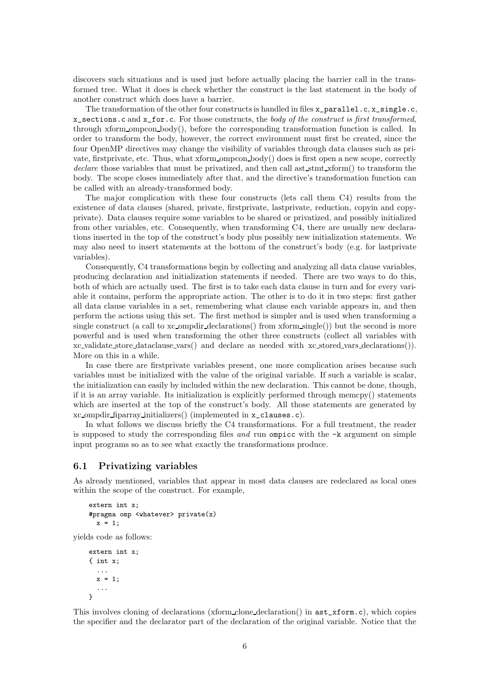discovers such situations and is used just before actually placing the barrier call in the transformed tree. What it does is check whether the construct is the last statement in the body of another construct which does have a barrier.

The transformation of the other four constructs is handled in files x\_parallel.c, x\_single.c,  $x$ \_sections.c and  $x$ \_for.c. For those constructs, the body of the construct is first transformed, through xform ompcon body(), before the corresponding transformation function is called. In order to transform the body, however, the correct environment must first be created, since the four OpenMP directives may change the visibility of variables through data clauses such as private, firstprivate, etc. Thus, what xform ompcon  $body()$  does is first open a new scope, correctly declare those variables that must be privatized, and then call ast stmt xform() to transform the body. The scope closes immediately after that, and the directive's transformation function can be called with an already-transformed body.

The major complication with these four constructs (lets call them C4) results from the existence of data clauses (shared, private, firstprivate, lastprivate, reduction, copyin and copyprivate). Data clauses require some variables to be shared or privatized, and possibly initialized from other variables, etc. Consequently, when transforming C4, there are usually new declarations inserted in the top of the construct's body plus possibly new initialization statements. We may also need to insert statements at the bottom of the construct's body (e.g. for lastprivate variables).

Consequently, C4 transformations begin by collecting and analyzing all data clause variables, producing declaration and initialization statements if needed. There are two ways to do this, both of which are actually used. The first is to take each data clause in turn and for every variable it contains, perform the appropriate action. The other is to do it in two steps: first gather all data clause variables in a set, remembering what clause each variable appears in, and then perform the actions using this set. The first method is simpler and is used when transforming a single construct (a call to xc-ompdir declarations() from xform single()) but the second is more powerful and is used when transforming the other three constructs (collect all variables with xc validate store dataclause vars() and declare as needed with xc stored vars declarations()). More on this in a while.

In case there are firstprivate variables present, one more complication arises because such variables must be initialized with the value of the original variable. If such a variable is scalar, the initialization can easily by included within the new declaration. This cannot be done, though, if it is an array variable. Its initialization is explicitly performed through memcpy() statements which are inserted at the top of the construct's body. All those statements are generated by xc ompdir fiparray initializers() (implemented in x\_clauses.c).

In what follows we discuss briefly the C4 transformations. For a full treatment, the reader is supposed to study the corresponding files and run ompice with the  $-k$  argument on simple input programs so as to see what exactly the transformations produce.

#### 6.1 Privatizing variables

As already mentioned, variables that appear in most data clauses are redeclared as local ones within the scope of the construct. For example,

```
extern int x;
#pragma omp <whatever> private(x)
  x = 1;
```
yields code as follows:

```
extern int x;
{ int x;
  ...
  x = 1;
  ...
}
```
This involves cloning of declarations (xform clone declaration() in ast\_xform.c), which copies the specifier and the declarator part of the declaration of the original variable. Notice that the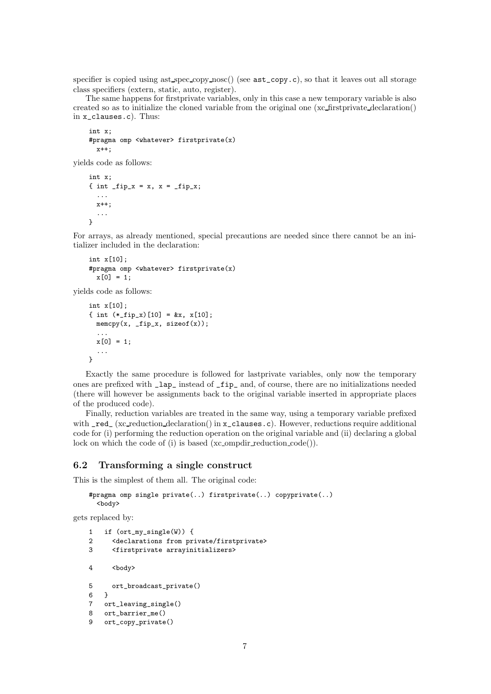specifier is copied using ast spec copy nose() (see  $\texttt{ast\_copy.c}$ ), so that it leaves out all storage class specifiers (extern, static, auto, register).

The same happens for firstprivate variables, only in this case a new temporary variable is also created so as to initialize the cloned variable from the original one (xc firstprivate declaration() in x\_clauses.c). Thus:

```
int x;
#pragma omp <whatever> firstprivate(x)
 x++:
```
yields code as follows:

```
int x;
{ int _fip_x = x, x = _fip_x;
  ...
 x++;
  ...
}
```
For arrays, as already mentioned, special precautions are needed since there cannot be an initializer included in the declaration:

```
int x[10];
#pragma omp <whatever> firstprivate(x)
 x[0] = 1;
```
yields code as follows:

```
int x[10];
{ int (*_fig_x)[10] = kx, x[10];memory(x, _ify_x, sizeof(x));...
 x[0] = 1;...
}
```
Exactly the same procedure is followed for lastprivate variables, only now the temporary ones are prefixed with \_lap\_ instead of \_fip\_ and, of course, there are no initializations needed (there will however be assignments back to the original variable inserted in appropriate places of the produced code).

Finally, reduction variables are treated in the same way, using a temporary variable prefixed with \_red\_ (xc\_reduction declaration() in x\_clauses.c). However, reductions require additional code for (i) performing the reduction operation on the original variable and (ii) declaring a global lock on which the code of (i) is based (xc\_ompdir\_reduction\_code()).

### 6.2 Transforming a single construct

This is the simplest of them all. The original code:

```
#pragma omp single private(..) firstprivate(..) copyprivate(..)
  <body>
```
gets replaced by:

```
1 if (ort_my_single(W)) {
2 <declarations from private/firstprivate>
3 <firstprivate arrayinitializers>
4 <br/>body>
5 ort_broadcast_private()
6 }
7 ort_leaving_single()
8 ort_barrier_me()
9 ort_copy_private()
```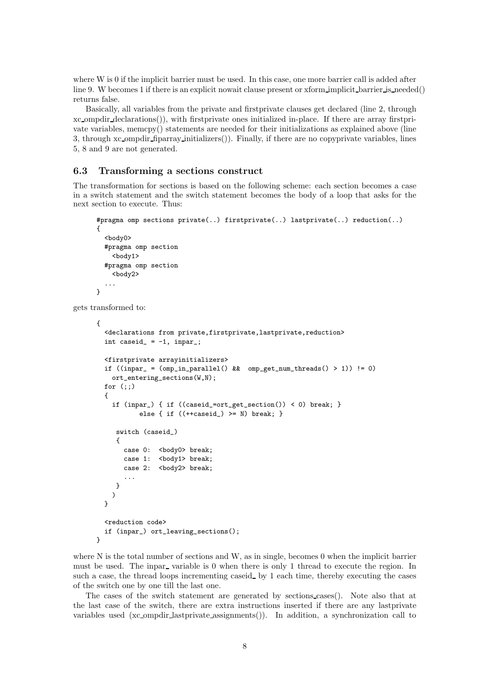where W is 0 if the implicit barrier must be used. In this case, one more barrier call is added after line 9. W becomes 1 if there is an explicit nowait clause present or xform implicit barrier is needed() returns false.

Basically, all variables from the private and firstprivate clauses get declared (line 2, through xc ompdir declarations()), with firstprivate ones initialized in-place. If there are array firstprivate variables, memcpy() statements are needed for their initializations as explained above (line 3, through xc ompdir fiparray initializers()). Finally, if there are no copyprivate variables, lines 5, 8 and 9 are not generated.

#### 6.3 Transforming a sections construct

The transformation for sections is based on the following scheme: each section becomes a case in a switch statement and the switch statement becomes the body of a loop that asks for the next section to execute. Thus:

```
#pragma omp sections private(..) firstprivate(..) lastprivate(..) reduction(..)
      {
        <body0>
        #pragma omp section
          <body1>
        #pragma omp section
          <body2>
        ...
      }
gets transformed to:
```

```
{
  <declarations from private,firstprivate,lastprivate,reduction>
  int caseid_ = -1, inpar_;
  <firstprivate arrayinitializers>
  if ((inpar_ = (omp_in_parallel() && omp_get_num_threads() > 1)) != 0)
    ort_entering_sections(W,N);
  for (::){
    if (inpar_) { if ((caseid_=ort_get_section()) < 0) break; }
            else { if ((+caseid_>) \geq N) break; }
     switch (caseid_)
     {
       case 0: <br/> <br/>body0> break;
       case 1: <br/> <br/>body1> break;
       case 2: <br/>body2> break;
       ...
     }
    )
  }
  <reduction code>
  if (inpar_) ort_leaving_sections();
}
```
where N is the total number of sections and W, as in single, becomes 0 when the implicit barrier must be used. The inpar-variable is 0 when there is only 1 thread to execute the region. In such a case, the thread loops incrementing caseid by 1 each time, thereby executing the cases of the switch one by one till the last one.

The cases of the switch statement are generated by sections cases(). Note also that at the last case of the switch, there are extra instructions inserted if there are any lastprivate variables used (xc ompdir lastprivate assignments()). In addition, a synchronization call to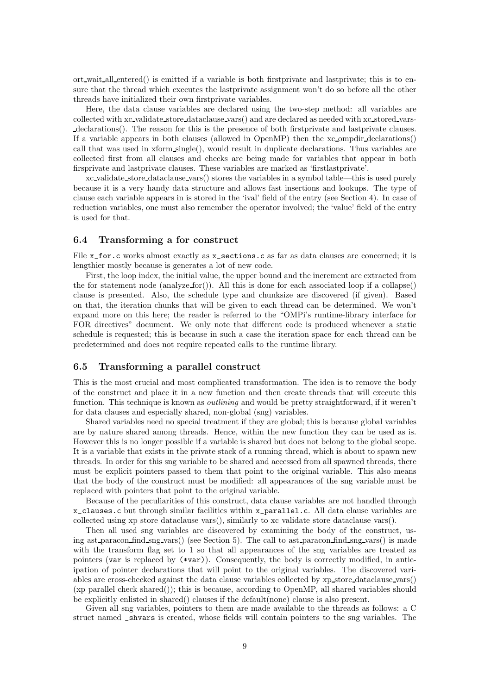ort wait all entered() is emitted if a variable is both firstprivate and lastprivate; this is to ensure that the thread which executes the lastprivate assignment won't do so before all the other threads have initialized their own firstprivate variables.

Here, the data clause variables are declared using the two-step method: all variables are collected with xc validate store dataclause vars() and are declared as needed with xc stored varsdeclarations(). The reason for this is the presence of both firstprivate and lastprivate clauses. If a variable appears in both clauses (allowed in OpenMP) then the xc ompdir declarations() call that was used in xform single(), would result in duplicate declarations. Thus variables are collected first from all clauses and checks are being made for variables that appear in both firsprivate and lastprivate clauses. These variables are marked as 'firstlastprivate'.

xc validate store dataclause vars() stores the variables in a symbol table—this is used purely because it is a very handy data structure and allows fast insertions and lookups. The type of clause each variable appears in is stored in the 'ival' field of the entry (see Section 4). In case of reduction variables, one must also remember the operator involved; the 'value' field of the entry is used for that.

#### 6.4 Transforming a for construct

File x\_for.c works almost exactly as x\_sections.c as far as data clauses are concerned; it is lengthier mostly because is generates a lot of new code.

First, the loop index, the initial value, the upper bound and the increment are extracted from the for statement node (analyze for()). All this is done for each associated loop if a collapse() clause is presented. Also, the schedule type and chunksize are discovered (if given). Based on that, the iteration chunks that will be given to each thread can be determined. We won't expand more on this here; the reader is referred to the "OMPi's runtime-library interface for FOR directives" document. We only note that different code is produced whenever a static schedule is requested; this is because in such a case the iteration space for each thread can be predetermined and does not require repeated calls to the runtime library.

#### 6.5 Transforming a parallel construct

This is the most crucial and most complicated transformation. The idea is to remove the body of the construct and place it in a new function and then create threads that will execute this function. This technique is known as *outlining* and would be pretty straightforward, if it weren't for data clauses and especially shared, non-global (sng) variables.

Shared variables need no special treatment if they are global; this is because global variables are by nature shared among threads. Hence, within the new function they can be used as is. However this is no longer possible if a variable is shared but does not belong to the global scope. It is a variable that exists in the private stack of a running thread, which is about to spawn new threads. In order for this sng variable to be shared and accessed from all spawned threads, there must be explicit pointers passed to them that point to the original variable. This also means that the body of the construct must be modified: all appearances of the sng variable must be replaced with pointers that point to the original variable.

Because of the peculiarities of this construct, data clause variables are not handled through x\_clauses.c but through similar facilities within x\_parallel.c. All data clause variables are collected using xp store dataclause vars(), similarly to xc validate store dataclause vars().

Then all used sng variables are discovered by examining the body of the construct, using ast paracon find sng vars() (see Section 5). The call to ast paracon find sng vars() is made with the transform flag set to 1 so that all appearances of the sng variables are treated as pointers (var is replaced by (\*var)). Consequently, the body is correctly modified, in anticipation of pointer declarations that will point to the original variables. The discovered variables are cross-checked against the data clause variables collected by xp store dataclause vars() (xp parallel check shared()); this is because, according to OpenMP, all shared variables should be explicitly enlisted in shared() clauses if the default(none) clause is also present.

Given all sng variables, pointers to them are made available to the threads as follows: a C struct named \_shvars is created, whose fields will contain pointers to the sng variables. The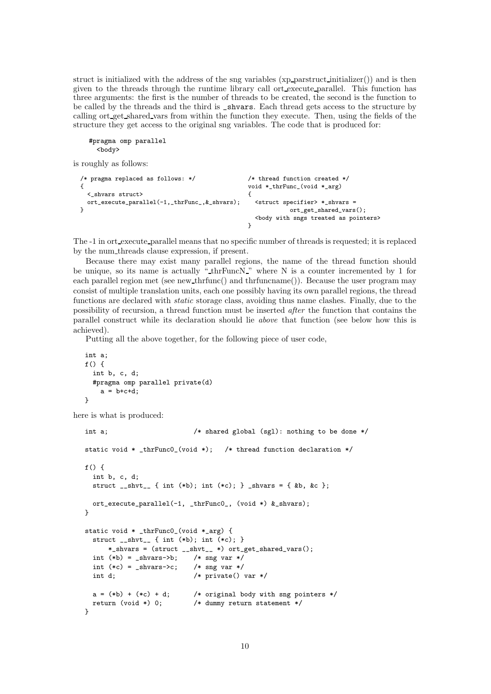struct is initialized with the address of the sng variables (xp parstruct initializer()) and is then given to the threads through the runtime library call ort execute parallel. This function has three arguments: the first is the number of threads to be created, the second is the function to be called by the threads and the third is \_shvars. Each thread gets access to the structure by calling ort get shared vars from within the function they execute. Then, using the fields of the structure they get access to the original sng variables. The code that is produced for:

```
#pragma omp parallel
  <body>
```
is roughly as follows:

```
/* pragma replaced as follows: */ /* thread function created */
{ void *_thrFunc_(void *_arg)
 <_shvars struct> {
 ort_execute_parallel(-1,_thrFunc_, &_shvars); <struct specifier> *_shvars =
} ort_get_shared_vars();
                               <body with sngs treated as pointers>
                              }
```
The -1 in ort execute parallel means that no specific number of threads is requested; it is replaced by the num threads clause expression, if present.

Because there may exist many parallel regions, the name of the thread function should be unique, so its name is actually " $\text{thrFuncN}$ " where N is a counter incremented by 1 for each parallel region met (see new thrfunc() and thrfuncname()). Because the user program may consist of multiple translation units, each one possibly having its own parallel regions, the thread functions are declared with static storage class, avoiding thus name clashes. Finally, due to the possibility of recursion, a thread function must be inserted after the function that contains the parallel construct while its declaration should lie above that function (see below how this is achieved).

Putting all the above together, for the following piece of user code,

```
int a;
f() fint b, c, d;
  #pragma omp parallel private(d)
    a = b + c + d;
}
```
here is what is produced:

```
int a; \hspace{1cm} /* shared global (sgl): nothing to be done */
static void * _thrFunc0_(void *); /* thread function declaration */f() fint b, c, d;
 struct __shvt__ { int (*b); int (*c); } _shvars = { &b, &c };
 ort_execute_parallel(-1, _thrFunc0_, (void *) &_shvars);
}
static void * _thrFunc0_(void *_arg) {
 struct \text{subt}_1 { int (*b); int (*c); }
     *_shvars = (struct __shvt__ *) ort_get_shared_vars();
 int (*b) = _shvars->b; /* sng var */
 int (*c) = _{shvars-x; /* sng var */
 int d; /* private() var */
 a = (*b) + (*c) + d; /* original body with sng pointers */
 return (void *) 0; /* dummy return statement */
}
```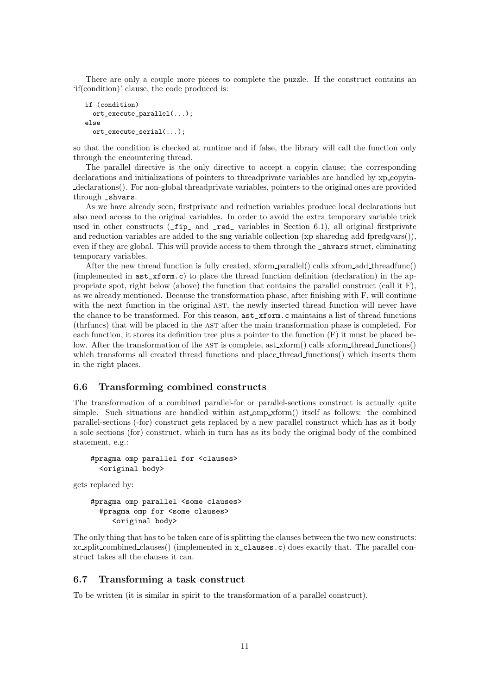There are only a couple more pieces to complete the puzzle. If the construct contains an 'if(condition)' clause, the code produced is:

```
if (condition)
 ort_execute_parallel(...);
else
 ort_execute_serial(...);
```
so that the condition is checked at runtime and if false, the library will call the function only through the encountering thread.

The parallel directive is the only directive to accept a copyin clause; the corresponding declarations and initializations of pointers to threadprivate variables are handled by xp copyindeclarations(). For non-global threadprivate variables, pointers to the original ones are provided through shvars.

As we have already seen, firstprivate and reduction variables produce local declarations but also need access to the original variables. In order to avoid the extra temporary variable trick used in other constructs  $(\text{fip}_ \text{and } \text{red}_ \text{of}]$  variables in Section 6.1), all original firstprivate and reduction variables are added to the sng variable collection (xp sharedng add fpredgvars()), even if they are global. This will provide access to them through the \_shvars struct, eliminating temporary variables.

After the new thread function is fully created, xform parallel() calls xfrom add threadfunc() (implemented in ast\_xform.c) to place the thread function definition (declaration) in the appropriate spot, right below (above) the function that contains the parallel construct (call it F), as we already mentioned. Because the transformation phase, after finishing with F, will continue with the next function in the original AST, the newly inserted thread function will never have the chance to be transformed. For this reason, ast\_xform.c maintains a list of thread functions (thrfuncs) that will be placed in the ast after the main transformation phase is completed. For each function, it stores its definition tree plus a pointer to the function  $(F)$  it must be placed below. After the transformation of the AST is complete, ast xform() calls xform thread functions() which transforms all created thread functions and place thread functions() which inserts them in the right places.

#### 6.6 Transforming combined constructs

The transformation of a combined parallel-for or parallel-sections construct is actually quite simple. Such situations are handled within ast omp xform() itself as follows: the combined parallel-sections (-for) construct gets replaced by a new parallel construct which has as it body a sole sections (for) construct, which in turn has as its body the original body of the combined statement, e.g.:

```
#pragma omp parallel for <clauses>
  <original body>
```
gets replaced by:

```
#pragma omp parallel <some clauses>
  #pragma omp for <some clauses>
     <original body>
```
The only thing that has to be taken care of is splitting the clauses between the two new constructs: xc split combined clauses() (implemented in x\_clauses.c) does exactly that. The parallel construct takes all the clauses it can.

#### 6.7 Transforming a task construct

To be written (it is similar in spirit to the transformation of a parallel construct).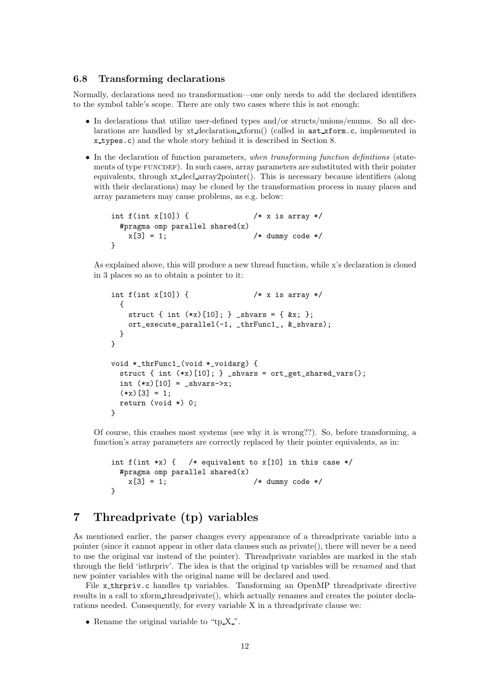### 6.8 Transforming declarations

Normally, declarations need no transformation—one only needs to add the declared identifiers to the symbol table's scope. There are only two cases where this is not enough:

- In declarations that utilize user-defined types and/or structs/unions/enums. So all declarations are handled by xt declaration xform() (called in ast xform.c, implemented in x types.c) and the whole story behind it is described in Section 8.
- In the declaration of function parameters, when transforming function definitions (statements of type FUNCDEF). In such cases, array parameters are substituted with their pointer equivalents, through xt decl array2pointer(). This is necessary because identifiers (along with their declarations) may be cloned by the transformation process in many places and array parameters may cause problems, as e.g. below:

```
int f(int x[10]) { /* x is array */#pragma omp parallel shared(x)
  x[3] = 1; /* dummy code */
}
```
As explained above, this will produce a new thread function, while x's declaration is cloned in 3 places so as to obtain a pointer to it:

```
int f(int x[10]) { /* x is array */{
   struct { int (**x) [10]; } _shvars = { kx; };
   ort_execute_parallel(-1, _thrFunc1_, &_shvars);
 }
}
void *_thrFunc1_(void *_voidarg) {
 struct { int (*x)[10]; } _shvars = ort_get_shared_vars();
 int (*x)[10] = _shvars->x;
  (*x)[3] = 1;
 return (void *) 0;
}
```
Of course, this crashes most systems (see why it is wrong??). So, before transforming, a function's array parameters are correctly replaced by their pointer equivalents, as in:

```
int f(int *x) { /* equivalent to x[10] in this case */#pragma omp parallel shared(x)
   x[3] = 1; /* dummy code */
}
```
## 7 Threadprivate (tp) variables

As mentioned earlier, the parser changes every appearance of a threadprivate variable into a pointer (since it cannot appear in other data clauses such as private(), there will never be a need to use the original var instead of the pointer). Threadprivate variables are marked in the stab through the field 'isthrpriv'. The idea is that the original tp variables will be renamed and that new pointer variables with the original name will be declared and used.

File x thrpriv.c handles tp variables. Tansforming an OpenMP threadprivate directive results in a call to xform threadprivate(), which actually renames and creates the pointer declarations needed. Consequently, for every variable X in a threadprivate clause we:

• Rename the original variable to "tp X".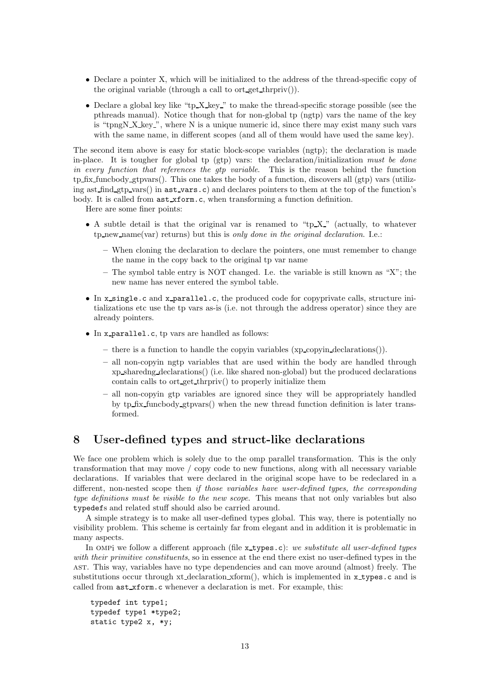- Declare a pointer X, which will be initialized to the address of the thread-specific copy of the original variable (through a call to ort get thrpriv()).
- Declare a global key like "tp X key" to make the thread-specific storage possible (see the pthreads manual). Notice though that for non-global tp (ngtp) vars the name of the key is "tpngN X key ", where N is a unique numeric id, since there may exist many such vars with the same name, in different scopes (and all of them would have used the same key).

The second item above is easy for static block-scope variables (ngtp); the declaration is made in-place. It is tougher for global tp (gtp) vars: the declaration/initialization must be done in every function that references the gtp variable. This is the reason behind the function tp fix funcbody gtpvars(). This one takes the body of a function, discovers all (gtp) vars (utilizing ast  $\text{find}_\text{gtp-vars}()$  in  $\text{ast_vars.c}$  and declares pointers to them at the top of the function's body. It is called from  $ast_xform.c$ , when transforming a function definition.

Here are some finer points:

- A subtle detail is that the original var is renamed to "tp  $X$ " (actually, to whatever  $tp_new_name(var)$  returns) but this is only done in the original declaration. I.e.:
	- When cloning the declaration to declare the pointers, one must remember to change the name in the copy back to the original tp var name
	- The symbol table entry is NOT changed. I.e. the variable is still known as "X"; the new name has never entered the symbol table.
- In x single.c and x parallel.c, the produced code for copyprivate calls, structure initializations etc use the tp vars as-is (i.e. not through the address operator) since they are already pointers.
- In x parallel.c, tp vars are handled as follows:
	- there is a function to handle the copyin variables (xp copyin declarations()).
	- all non-copyin ngtp variables that are used within the body are handled through xp sharedng declarations() (i.e. like shared non-global) but the produced declarations contain calls to ort get thrpriv() to properly initialize them
	- all non-copyin gtp variables are ignored since they will be appropriately handled by tp fix funcbody gtpvars() when the new thread function definition is later transformed.

### 8 User-defined types and struct-like declarations

We face one problem which is solely due to the omp parallel transformation. This is the only transformation that may move / copy code to new functions, along with all necessary variable declarations. If variables that were declared in the original scope have to be redeclared in a different, non-nested scope then if those variables have user-defined types, the corresponding type definitions must be visible to the new scope. This means that not only variables but also typedefs and related stuff should also be carried around.

A simple strategy is to make all user-defined types global. This way, there is potentially no visibility problem. This scheme is certainly far from elegant and in addition it is problematic in many aspects.

In OMPi we follow a different approach (file  $x$ -types.c): we substitute all user-defined types with their primitive constituents, so in essence at the end there exist no user-defined types in the ast. This way, variables have no type dependencies and can move around (almost) freely. The substitutions occur through xt declaration xform(), which is implemented in xtypes.c and is called from ast xform.c whenever a declaration is met. For example, this:

typedef int type1; typedef type1 \*type2; static type2 x, \*y;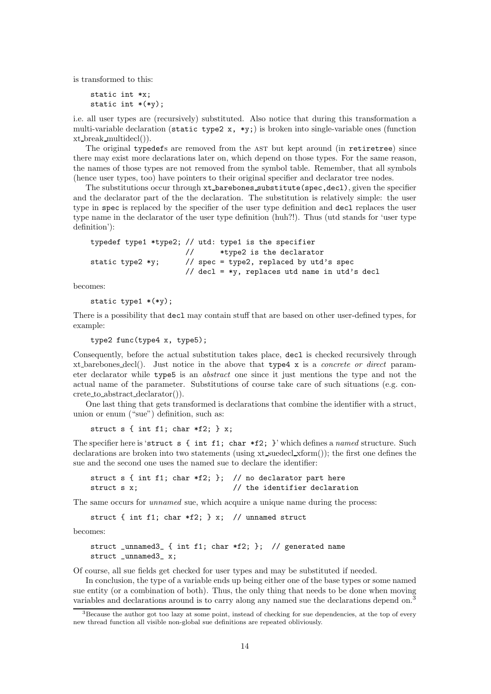is transformed to this:

static int \*x; static int \*(\*y);

i.e. all user types are (recursively) substituted. Also notice that during this transformation a multi-variable declaration (static type2 x, \*y;) is broken into single-variable ones (function xt break multidecl()).

The original typedefs are removed from the AST but kept around (in retiretree) since there may exist more declarations later on, which depend on those types. For the same reason, the names of those types are not removed from the symbol table. Remember, that all symbols (hence user types, too) have pointers to their original specifier and declarator tree nodes.

The substitutions occur through  $xt$ -barebones substitute(spec,decl), given the specifier and the declarator part of the the declaration. The substitution is relatively simple: the user type in spec is replaced by the specifier of the user type definition and decl replaces the user type name in the declarator of the user type definition (huh?!). Thus (utd stands for 'user type definition'):

```
typedef type1 *type2; // utd: type1 is the specifier
                    // *type2 is the declarator
static type2 *y; // spec = type2, replaced by utd's spec
                    // decl = *y, replaces utd name in utd's decl
```
becomes:

static type1  $*(*y)$ ;

There is a possibility that decl may contain stuff that are based on other user-defined types, for example:

type2 func(type4 x, type5);

Consequently, before the actual substitution takes place, decl is checked recursively through xt barebones decl(). Just notice in the above that  $type4 \times$  is a *concrete or direct* parameter declarator while type5 is an abstract one since it just mentions the type and not the actual name of the parameter. Substitutions of course take care of such situations (e.g. concrete to abstract declarator()).

One last thing that gets transformed is declarations that combine the identifier with a struct, union or enum ("sue") definition, such as:

struct  $s \{ int f1; char *f2; \} x;$ 

The specifier here is 'struct s { int f1; char  $*f2$ ; }' which defines a named structure. Such declarations are broken into two statements (using xt suedecl xform()); the first one defines the sue and the second one uses the named sue to declare the identifier:

struct s { int f1; char  $*f2$ ; }; // no declarator part here struct s x;  $\frac{1}{1}$  the identifier declaration

The same occurs for *unnamed* sue, which acquire a unique name during the process:

struct { int f1; char \*f2; } x; // unnamed struct

becomes:

struct \_unnamed3\_ { int f1; char \*f2; }; // generated name struct \_unnamed3\_ x;

Of course, all sue fields get checked for user types and may be substituted if needed.

In conclusion, the type of a variable ends up being either one of the base types or some named sue entity (or a combination of both). Thus, the only thing that needs to be done when moving variables and declarations around is to carry along any named sue the declarations depend on.<sup>3</sup>

<sup>&</sup>lt;sup>3</sup>Because the author got too lazy at some point, instead of checking for sue dependencies, at the top of every new thread function all visible non-global sue definitions are repeated obliviously.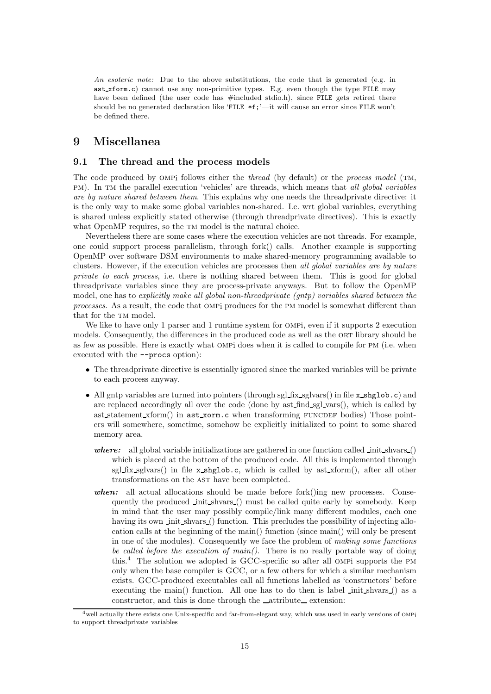An esoteric note: Due to the above substitutions, the code that is generated (e.g. in ast xform.c) cannot use any non-primitive types. E.g. even though the type FILE may have been defined (the user code has #included stdio.h), since FILE gets retired there should be no generated declaration like 'FILE \*f;'—it will cause an error since FILE won't be defined there.

# 9 Miscellanea

#### 9.1 The thread and the process models

The code produced by OMPi follows either the *thread* (by default) or the *process model* (TM, pm). In TM the parallel execution 'vehicles' are threads, which means that all global variables are by nature shared between them. This explains why one needs the threadprivate directive: it is the only way to make some global variables non-shared. I.e. wrt global variables, everything is shared unless explicitly stated otherwise (through threadprivate directives). This is exactly what OpenMP requires, so the TM model is the natural choice.

Nevertheless there are some cases where the execution vehicles are not threads. For example, one could support process parallelism, through fork() calls. Another example is supporting OpenMP over software DSM environments to make shared-memory programming available to clusters. However, if the execution vehicles are processes then all global variables are by nature private to each process, i.e. there is nothing shared between them. This is good for global threadprivate variables since they are process-private anyways. But to follow the OpenMP model, one has to explicitly make all global non-threadprivate (gntp) variables shared between the processes. As a result, the code that ompi produces for the pm model is somewhat different than that for the TM model.

We like to have only 1 parser and 1 runtime system for OMP<sub>i</sub>, even if it supports 2 execution models. Consequently, the differences in the produced code as well as the ORT library should be as few as possible. Here is exactly what OMP does when it is called to compile for PM (i.e. when executed with the --procs option):

- The threadprivate directive is essentially ignored since the marked variables will be private to each process anyway.
- All gntp variables are turned into pointers (through sgl fix sglvars() in file x shglob.c) and are replaced accordingly all over the code (done by  $ast\_find\_sgl\_vars()$ , which is called by ast statement xform() in ast xorm.c when transforming FUNCDEF bodies) Those pointers will somewhere, sometime, somehow be explicitly initialized to point to some shared memory area.
	- where: all global variable initializations are gathered in one function called init shvars () which is placed at the bottom of the produced code. All this is implemented through sgl fix sglvars() in file x shglob.c, which is called by ast xform(), after all other transformations on the AST have been completed.
	- when: all actual allocations should be made before fork $(\theta)$ ing new processes. Consequently the produced init shvars () must be called quite early by somebody. Keep in mind that the user may possibly compile/link many different modules, each one having its own init shvars () function. This precludes the possibility of injecting allocation calls at the beginning of the main() function (since main() will only be present in one of the modules). Consequently we face the problem of making some functions be called before the execution of main(). There is no really portable way of doing this.<sup>4</sup> The solution we adopted is GCC-specific so after all ompi supports the pm only when the base compiler is GCC, or a few others for which a similar mechanism exists. GCC-produced executables call all functions labelled as 'constructors' before executing the main() function. All one has to do then is label init shvars () as a constructor, and this is done through the  $\_\text{attribute\_extension}$ :

<sup>&</sup>lt;sup>4</sup> well actually there exists one Unix-specific and far-from-elegant way, which was used in early versions of OMPi to support threadprivate variables